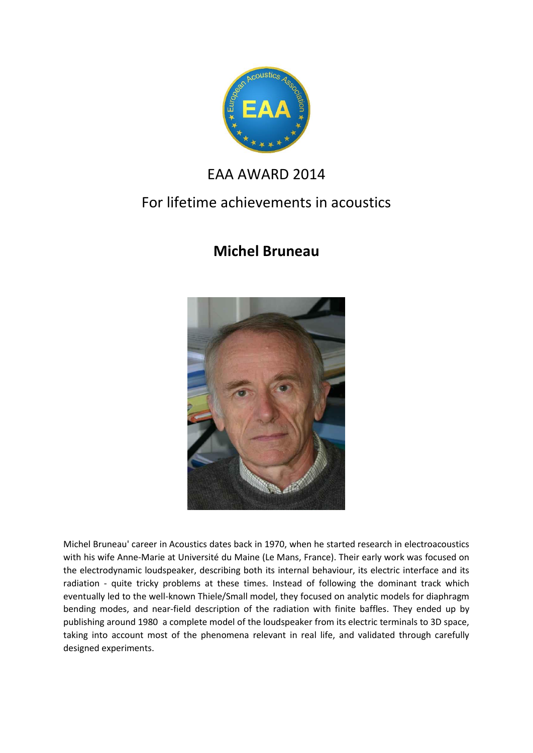

## EAA AWARD 2014

## For lifetime achievements in acoustics

## **Michel Bruneau**



Michel Bruneau' career in Acoustics dates back in 1970, when he started research in electroacoustics with his wife Anne-Marie at Université du Maine (Le Mans, France). Their early work was focused on the electrodynamic loudspeaker, describing both its internal behaviour, its electric interface and its radiation - quite tricky problems at these times. Instead of following the dominant track which eventually led to the well-known Thiele/Small model, they focused on analytic models for diaphragm bending modes, and near-field description of the radiation with finite baffles. They ended up by publishing around 1980 a complete model of the loudspeaker from its electric terminals to 3D space, taking into account most of the phenomena relevant in real life, and validated through carefully designed experiments.